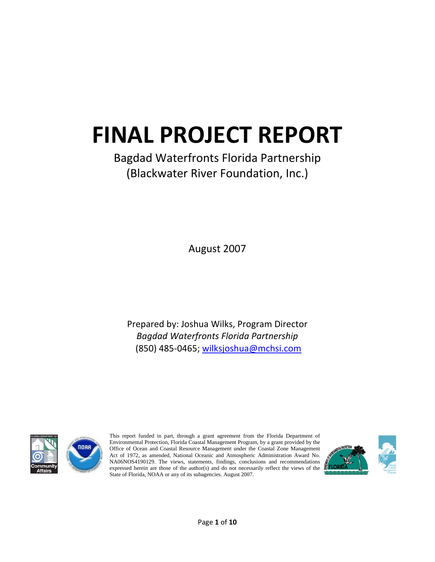# **FINAL PROJECT REPORT**

# Bagdad Waterfronts Florida Partnership (Blackwater River Foundation, Inc.)

August 2007

Prepared by: Joshua Wilks, Program Director *Bagdad Waterfronts Florida Partnership* (850) 485‐0465; wilksjoshua@mchsi.com



This report funded in part, through a grant agreement from the Florida Department of Environmental Protection, Florida Coastal Management Program, by a grant provided by the Office of Ocean and Coastal Resource Management under the Coastal Zone Management Act of 1972, as amended, National Oceanic and Atmospheric Administration Award No. NA06NOS4190129. The views, statements, findings, conclusions and recommendations expressed herein are those of the author(s) and do not necessarily reflect the views of the State of Florida, NOAA or any of its subagencies. August 2007.

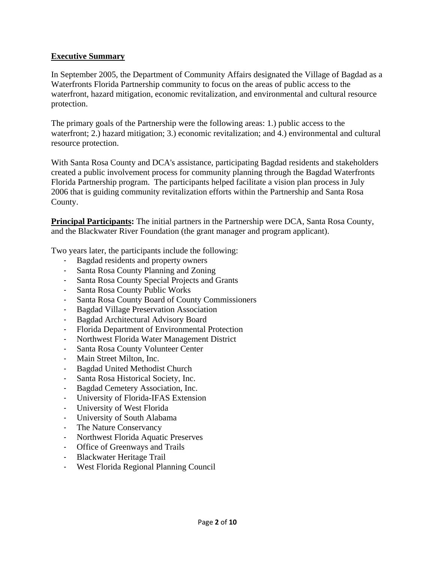## **Executive Summary**

In September 2005, the Department of Community Affairs designated the Village of Bagdad as a Waterfronts Florida Partnership community to focus on the areas of public access to the waterfront, hazard mitigation, economic revitalization, and environmental and cultural resource protection.

The primary goals of the Partnership were the following areas: 1.) public access to the waterfront; 2.) hazard mitigation; 3.) economic revitalization; and 4.) environmental and cultural resource protection.

With Santa Rosa County and DCA's assistance, participating Bagdad residents and stakeholders created a public involvement process for community planning through the Bagdad Waterfronts Florida Partnership program. The participants helped facilitate a vision plan process in July 2006 that is guiding community revitalization efforts within the Partnership and Santa Rosa County.

**Principal Participants:** The initial partners in the Partnership were DCA, Santa Rosa County, and the Blackwater River Foundation (the grant manager and program applicant).

Two years later, the participants include the following:

- Bagdad residents and property owners
- Santa Rosa County Planning and Zoning
- Santa Rosa County Special Projects and Grants
- Santa Rosa County Public Works
- Santa Rosa County Board of County Commissioners
- Bagdad Village Preservation Association
- Bagdad Architectural Advisory Board
- Florida Department of Environmental Protection
- Northwest Florida Water Management District
- Santa Rosa County Volunteer Center
- Main Street Milton, Inc.
- Bagdad United Methodist Church
- Santa Rosa Historical Society, Inc.
- Bagdad Cemetery Association, Inc.
- University of Florida-IFAS Extension
- University of West Florida
- University of South Alabama
- The Nature Conservancy
- Northwest Florida Aquatic Preserves
- Office of Greenways and Trails
- Blackwater Heritage Trail
- West Florida Regional Planning Council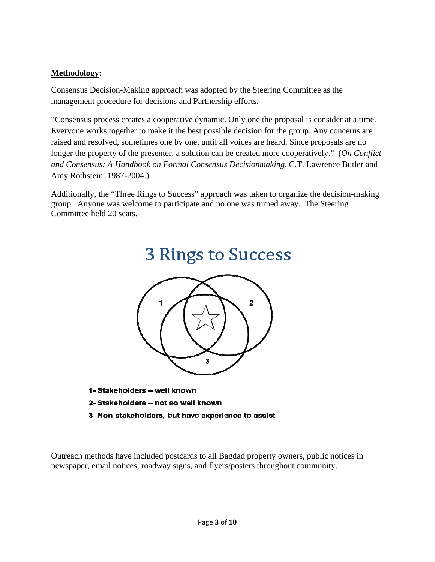# **Methodology:**

Consensus Decision-Making approach was adopted by the Steering Committee as the management procedure for decisions and Partnership efforts.

"Consensus process creates a cooperative dynamic. Only one the proposal is consider at a time. Everyone works together to make it the best possible decision for the group. Any concerns are raised and resolved, sometimes one by one, until all voices are heard. Since proposals are no longer the property of the presenter, a solution can be created more cooperatively." (*On Conflict and Consensus: A Handbook on Formal Consensus Decisionmaking*. C.T. Lawrence Butler and Amy Rothstein. 1987-2004.)

Additionally, the "Three Rings to Success" approach was taken to organize the decision-making group. Anyone was welcome to participate and no one was turned away. The Steering Committee held 20 seats.

3 Rings to Success



- 1- Stakeholders well known
- 2- Stakeholders not so well known
- 3- Non-stakeholders, but have experience to assist

Outreach methods have included postcards to all Bagdad property owners, public notices in newspaper, email notices, roadway signs, and flyers/posters throughout community.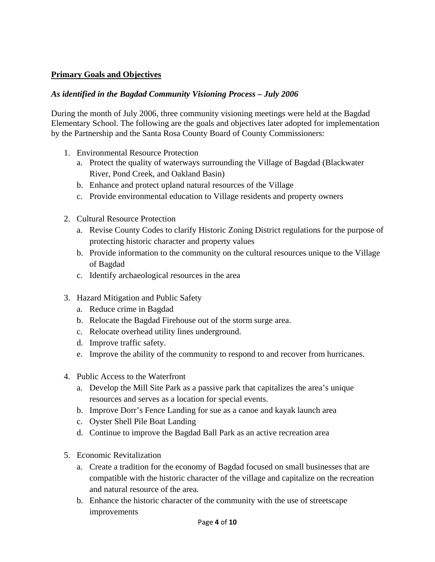# **Primary Goals and Objectives**

## *As identified in the Bagdad Community Visioning Process – July 2006*

During the month of July 2006, three community visioning meetings were held at the Bagdad Elementary School. The following are the goals and objectives later adopted for implementation by the Partnership and the Santa Rosa County Board of County Commissioners:

- 1. Environmental Resource Protection
	- a. Protect the quality of waterways surrounding the Village of Bagdad (Blackwater River, Pond Creek, and Oakland Basin)
	- b. Enhance and protect upland natural resources of the Village
	- c. Provide environmental education to Village residents and property owners
- 2. Cultural Resource Protection
	- a. Revise County Codes to clarify Historic Zoning District regulations for the purpose of protecting historic character and property values
	- b. Provide information to the community on the cultural resources unique to the Village of Bagdad
	- c. Identify archaeological resources in the area
- 3. Hazard Mitigation and Public Safety
	- a. Reduce crime in Bagdad
	- b. Relocate the Bagdad Firehouse out of the storm surge area.
	- c. Relocate overhead utility lines underground.
	- d. Improve traffic safety.
	- e. Improve the ability of the community to respond to and recover from hurricanes.
- 4. Public Access to the Waterfront
	- a. Develop the Mill Site Park as a passive park that capitalizes the area's unique resources and serves as a location for special events.
	- b. Improve Dorr's Fence Landing for sue as a canoe and kayak launch area
	- c. Oyster Shell Pile Boat Landing
	- d. Continue to improve the Bagdad Ball Park as an active recreation area
- 5. Economic Revitalization
	- a. Create a tradition for the economy of Bagdad focused on small businesses that are compatible with the historic character of the village and capitalize on the recreation and natural resource of the area.
	- b. Enhance the historic character of the community with the use of streetscape improvements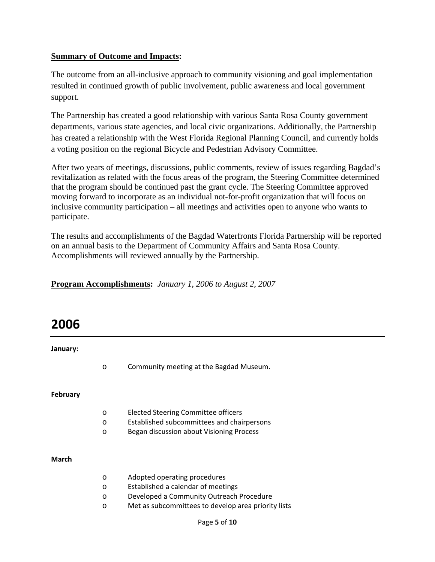### **Summary of Outcome and Impacts:**

The outcome from an all-inclusive approach to community visioning and goal implementation resulted in continued growth of public involvement, public awareness and local government support.

The Partnership has created a good relationship with various Santa Rosa County government departments, various state agencies, and local civic organizations. Additionally, the Partnership has created a relationship with the West Florida Regional Planning Council, and currently holds a voting position on the regional Bicycle and Pedestrian Advisory Committee.

After two years of meetings, discussions, public comments, review of issues regarding Bagdad's revitalization as related with the focus areas of the program, the Steering Committee determined that the program should be continued past the grant cycle. The Steering Committee approved moving forward to incorporate as an individual not-for-profit organization that will focus on inclusive community participation – all meetings and activities open to anyone who wants to participate.

The results and accomplishments of the Bagdad Waterfronts Florida Partnership will be reported on an annual basis to the Department of Community Affairs and Santa Rosa County. Accomplishments will reviewed annually by the Partnership.

| <b>Program Accomplishments:</b> January 1, 2006 to August 2, 2007 |  |
|-------------------------------------------------------------------|--|
|                                                                   |  |

# **2006**

**January:** 

o Community meeting at the Bagdad Museum.

**February**

- o Elected Steering Committee officers
- o Established subcommittees and chairpersons
- o Began discussion about Visioning Process

#### **March**

| $\circ$ | Adopted operating procedures                        |
|---------|-----------------------------------------------------|
| $\circ$ | Established a calendar of meetings                  |
| $\circ$ | Developed a Community Outreach Procedure            |
| $\circ$ | Met as subcommittees to develop area priority lists |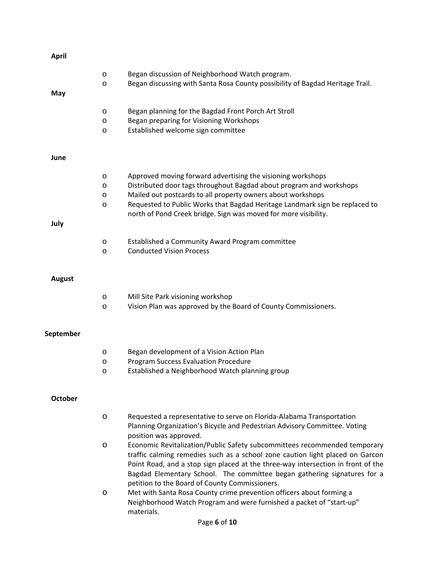| <b>April</b>   |         |                                                                                                                                                                   |
|----------------|---------|-------------------------------------------------------------------------------------------------------------------------------------------------------------------|
|                | O       | Began discussion of Neighborhood Watch program.                                                                                                                   |
| May            | O       | Began discussing with Santa Rosa County possibility of Bagdad Heritage Trail.                                                                                     |
|                | O       | Began planning for the Bagdad Front Porch Art Stroll                                                                                                              |
|                | O       | Began preparing for Visioning Workshops                                                                                                                           |
|                | O       | Established welcome sign committee                                                                                                                                |
| June           |         |                                                                                                                                                                   |
|                | O       | Approved moving forward advertising the visioning workshops                                                                                                       |
|                | O       | Distributed door tags throughout Bagdad about program and workshops                                                                                               |
|                | O       | Mailed out postcards to all property owners about workshops                                                                                                       |
|                | O       | Requested to Public Works that Bagdad Heritage Landmark sign be replaced to<br>north of Pond Creek bridge. Sign was moved for more visibility.                    |
| July           |         |                                                                                                                                                                   |
|                | $\circ$ | Established a Community Award Program committee                                                                                                                   |
|                | O       | <b>Conducted Vision Process</b>                                                                                                                                   |
| <b>August</b>  |         |                                                                                                                                                                   |
|                |         |                                                                                                                                                                   |
|                | O       | Mill Site Park visioning workshop                                                                                                                                 |
|                | O       | Vision Plan was approved by the Board of County Commissioners.                                                                                                    |
| September      |         |                                                                                                                                                                   |
|                | O       | Began development of a Vision Action Plan                                                                                                                         |
|                | O       | <b>Program Success Evaluation Procedure</b>                                                                                                                       |
|                | O       | Established a Neighborhood Watch planning group                                                                                                                   |
| <b>October</b> |         |                                                                                                                                                                   |
|                |         |                                                                                                                                                                   |
|                | $\circ$ | Requested a representative to serve on Florida-Alabama Transportation<br>Planning Organization's Bicycle and Pedestrian Advisory Committee. Voting                |
|                |         | position was approved.                                                                                                                                            |
|                | O       | Economic Revitalization/Public Safety subcommittees recommended temporary                                                                                         |
|                |         | traffic calming remedies such as a school zone caution light placed on Garcon<br>Point Road, and a stop sign placed at the three-way intersection in front of the |
|                |         | Bagdad Elementary School. The committee began gathering signatures for a                                                                                          |
|                | $\circ$ | petition to the Board of County Commissioners.<br>Met with Santa Rosa County crime prevention officers about forming a                                            |
|                |         | Neighborhood Watch Program and were furnished a packet of "start-up"<br>materials.                                                                                |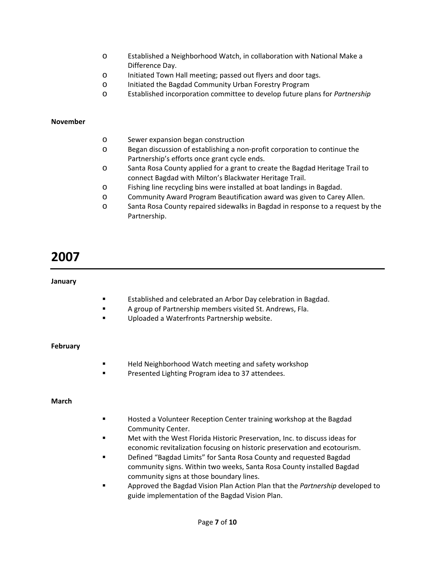- o Established a Neighborhood Watch, in collaboration with National Make a Difference Day.
- o Initiated Town Hall meeting; passed out flyers and door tags.
- o Initiated the Bagdad Community Urban Forestry Program
- o Established incorporation committee to develop future plans for *Partnership*

#### **November**

- o Sewer expansion began construction
- o Began discussion of establishing a non‐profit corporation to continue the Partnership's efforts once grant cycle ends.
- o Santa Rosa County applied for a grant to create the Bagdad Heritage Trail to connect Bagdad with Milton's Blackwater Heritage Trail.
- o Fishing line recycling bins were installed at boat landings in Bagdad.
- o Community Award Program Beautification award was given to Carey Allen.
- o Santa Rosa County repaired sidewalks in Bagdad in response to a request by the Partnership.

# **2007**

#### **January**

- **Established and celebrated an Arbor Day celebration in Bagdad.**
- A group of Partnership members visited St. Andrews, Fla.
- Uploaded a Waterfronts Partnership website.

#### **February**

- **Held Neighborhood Watch meeting and safety workshop**
- Presented Lighting Program idea to 37 attendees.

#### **March**

- Hosted a Volunteer Reception Center training workshop at the Bagdad Community Center.
- Met with the West Florida Historic Preservation, Inc. to discuss ideas for economic revitalization focusing on historic preservation and ecotourism.
- Defined "Bagdad Limits" for Santa Rosa County and requested Bagdad community signs. Within two weeks, Santa Rosa County installed Bagdad community signs at those boundary lines.
- Approved the Bagdad Vision Plan Action Plan that the *Partnership* developed to guide implementation of the Bagdad Vision Plan.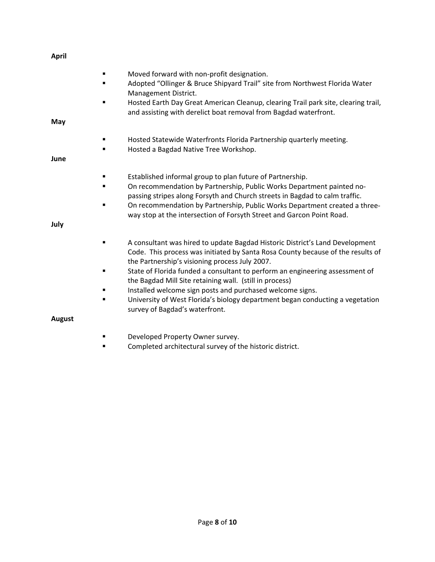| April         |                |                                                                                                                                                                                                                                                                                                                                                                          |
|---------------|----------------|--------------------------------------------------------------------------------------------------------------------------------------------------------------------------------------------------------------------------------------------------------------------------------------------------------------------------------------------------------------------------|
|               | ٠              | Moved forward with non-profit designation.<br>Adopted "Ollinger & Bruce Shipyard Trail" site from Northwest Florida Water<br>Management District.<br>Hosted Earth Day Great American Cleanup, clearing Trail park site, clearing trail,                                                                                                                                  |
| May           |                | and assisting with derelict boat removal from Bagdad waterfront.                                                                                                                                                                                                                                                                                                         |
| June          | ٠<br>٠         | Hosted Statewide Waterfronts Florida Partnership quarterly meeting.<br>Hosted a Bagdad Native Tree Workshop.                                                                                                                                                                                                                                                             |
|               | ٠<br>■         | Established informal group to plan future of Partnership.<br>On recommendation by Partnership, Public Works Department painted no-<br>passing stripes along Forsyth and Church streets in Bagdad to calm traffic.<br>On recommendation by Partnership, Public Works Department created a three-<br>way stop at the intersection of Forsyth Street and Garcon Point Road. |
| July          |                |                                                                                                                                                                                                                                                                                                                                                                          |
|               |                | A consultant was hired to update Bagdad Historic District's Land Development<br>Code. This process was initiated by Santa Rosa County because of the results of<br>the Partnership's visioning process July 2007.                                                                                                                                                        |
|               | $\blacksquare$ | State of Florida funded a consultant to perform an engineering assessment of<br>the Bagdad Mill Site retaining wall. (still in process)                                                                                                                                                                                                                                  |
|               |                | Installed welcome sign posts and purchased welcome signs.                                                                                                                                                                                                                                                                                                                |
|               | ٠              | University of West Florida's biology department began conducting a vegetation<br>survey of Bagdad's waterfront.                                                                                                                                                                                                                                                          |
| <b>August</b> |                |                                                                                                                                                                                                                                                                                                                                                                          |
|               |                | Developed Property Owner survey.                                                                                                                                                                                                                                                                                                                                         |
|               |                | Completed architectural survey of the historic district.                                                                                                                                                                                                                                                                                                                 |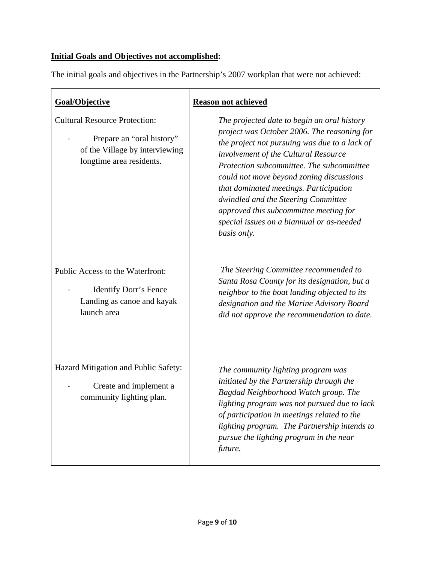# **Initial Goals and Objectives not accomplished:**

interviewing

The initial goals and objectives in the Partnership's 2007 workplan that were not achieved:

| Goal/Objective                                                                          |  |  |
|-----------------------------------------------------------------------------------------|--|--|
| <b>Cultural Resource Protection:</b>                                                    |  |  |
| Prepare an "oral history"<br>of the Village by interviewing<br>longtime area residents. |  |  |
|                                                                                         |  |  |

Public Access to the Waterfront:

Identify Dorr's Fence Landing as canoe and kayak launch area

Hazard Mitigation and Public Safety:

Create and implement a community lighting plan.

## **Reason not achieved**

*The projected date to begin an oral history project was October 2006. The reasoning for the project not pursuing was due to a lack of involvement of the Cultural Resource Protection subcommittee. The subcommittee could not move beyond zoning discussions that dominated meetings. Participation dwindled and the Steering Committee approved this subcommittee meeting for special issues on a biannual or as-needed basis only.*

 *The Steering Committee recommended to Santa Rosa County for its designation, but a neighbor to the boat landing objected to its designation and the Marine Advisory Board did not approve the recommendation to date.* 

*The community lighting program was initiated by the Partnership through the Bagdad Neighborhood Watch group. The lighting program was not pursued due to lack of participation in meetings related to the lighting program. The Partnership intends to pursue the lighting program in the near future.*